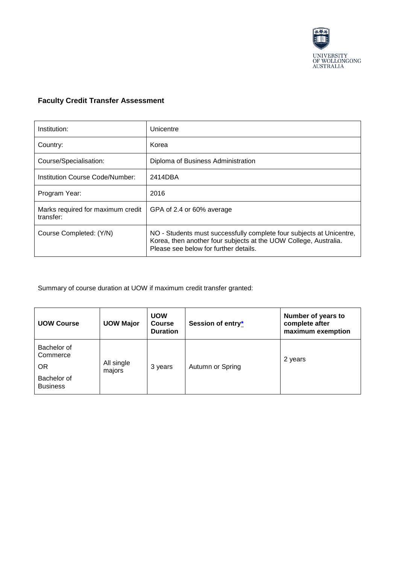

## **Faculty Credit Transfer Assessment**

| Institution:                                   | Unicentre                                                                                                                                                                         |
|------------------------------------------------|-----------------------------------------------------------------------------------------------------------------------------------------------------------------------------------|
| Country:                                       | Korea                                                                                                                                                                             |
| Course/Specialisation:                         | Diploma of Business Administration                                                                                                                                                |
| Institution Course Code/Number:                | 2414DBA                                                                                                                                                                           |
| Program Year:                                  | 2016                                                                                                                                                                              |
| Marks required for maximum credit<br>transfer: | GPA of 2.4 or 60% average                                                                                                                                                         |
| Course Completed: (Y/N)                        | NO - Students must successfully complete four subjects at Unicentre,<br>Korea, then another four subjects at the UOW College, Australia.<br>Please see below for further details. |

Summary of course duration at UOW if maximum credit transfer granted:

| <b>UOW Course</b>                                                      | <b>UOW Major</b>     | <b>UOW</b><br><b>Course</b><br><b>Duration</b> | Session of entry* | Number of years to<br>complete after<br>maximum exemption |
|------------------------------------------------------------------------|----------------------|------------------------------------------------|-------------------|-----------------------------------------------------------|
| Bachelor of<br>Commerce<br><b>OR</b><br>Bachelor of<br><b>Business</b> | All single<br>majors | 3 years                                        | Autumn or Spring  | 2 years                                                   |